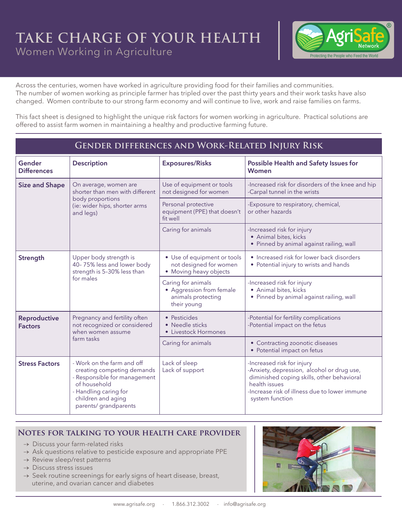## **TAKE CHARGE OF YOUR HEALTH** Women Working in Agriculture



Across the centuries, women have worked in agriculture providing food for their families and communities. The number of women working as principle farmer has tripled over the past thirty years and their work tasks have also changed. Women contribute to our strong farm economy and will continue to live, work and raise families on farms.

This fact sheet is designed to highlight the unique risk factors for women working in agriculture. Practical solutions are offered to assist farm women in maintaining a healthy and productive farming future.

## **Gender differences and Work-Related Injury Risk**

| Gender<br><b>Differences</b>          | <b>Description</b>                                                                                                                                                               | <b>Exposures/Risks</b>                                                              | Possible Health and Safety Issues for<br>Women                                                                                                                                                              |
|---------------------------------------|----------------------------------------------------------------------------------------------------------------------------------------------------------------------------------|-------------------------------------------------------------------------------------|-------------------------------------------------------------------------------------------------------------------------------------------------------------------------------------------------------------|
| <b>Size and Shape</b>                 | On average, women are<br>shorter than men with different<br>body proportions<br>(ie: wider hips, shorter arms<br>and legs)                                                       | Use of equipment or tools<br>not designed for women                                 | -Increased risk for disorders of the knee and hip<br>-Carpal tunnel in the wrists                                                                                                                           |
|                                       |                                                                                                                                                                                  | Personal protective<br>equipment (PPE) that doesn't<br>fit well                     | -Exposure to respiratory, chemical,<br>or other hazards                                                                                                                                                     |
|                                       |                                                                                                                                                                                  | Caring for animals                                                                  | -Increased risk for injury<br>• Animal bites, kicks<br>• Pinned by animal against railing, wall                                                                                                             |
| Strength                              | Upper body strength is<br>40-75% less and lower body<br>strength is 5-30% less than<br>for males                                                                                 | • Use of equipment or tools<br>not designed for women<br>• Moving heavy objects     | • Increased risk for lower back disorders<br>• Potential injury to wrists and hands                                                                                                                         |
|                                       |                                                                                                                                                                                  | Caring for animals<br>• Aggression from female<br>animals protecting<br>their young | -Increased risk for injury<br>• Animal bites, kicks<br>• Pinned by animal against railing, wall                                                                                                             |
| <b>Reproductive</b><br><b>Factors</b> | Pregnancy and fertility often<br>not recognized or considered<br>when women assume<br>farm tasks                                                                                 | • Pesticides<br>• Needle sticks<br>• Livestock Hormones                             | -Potential for fertility complications<br>-Potential impact on the fetus                                                                                                                                    |
|                                       |                                                                                                                                                                                  | Caring for animals                                                                  | • Contracting zoonotic diseases<br>• Potential impact on fetus                                                                                                                                              |
| <b>Stress Factors</b>                 | - Work on the farm and off<br>creating competing demands<br>- Responsible for management<br>of household<br>- Handling caring for<br>children and aging<br>parents/ grandparents | Lack of sleep<br>Lack of support                                                    | -Increased risk for injury<br>-Anxiety, depression, alcohol or drug use,<br>diminished coping skills, other behavioral<br>health issues<br>-Increase risk of illness due to lower immune<br>system function |

## **Notes for talking to your health care provider**

- $\rightarrow$  Discuss your farm-related risks
- $\rightarrow$  Ask questions relative to pesticide exposure and appropriate PPE
- $\rightarrow$  Review sleep/rest patterns
- $\rightarrow$  Discuss stress issues
- $\rightarrow$  Seek routine screenings for early signs of heart disease, breast, uterine, and ovarian cancer and diabetes